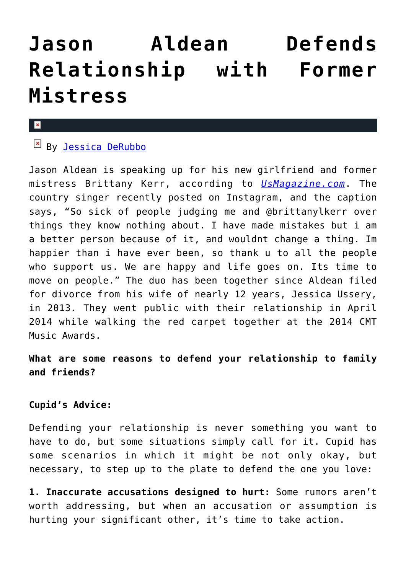# **[Jason Aldean Defends](https://cupidspulse.com/79123/jason-aldean-defends-relationship-mistress-brittany-kerr/) [Relationship with Former](https://cupidspulse.com/79123/jason-aldean-defends-relationship-mistress-brittany-kerr/) [Mistress](https://cupidspulse.com/79123/jason-aldean-defends-relationship-mistress-brittany-kerr/)**

#### $\mathbf{x}$

# $By$  [Jessica DeRubbo](http://cupidspulse.com/104599/jessica-derubbo/)

Jason Aldean is speaking up for his new girlfriend and former mistress Brittany Kerr, according to *[UsMagazine.com](http://www.usmagazine.com/celebrity-news/news/jason-aldean-defends-relationship-mistress-brittany-kerr-2014108)*. The country singer recently posted on Instagram, and the caption says, "So sick of people judging me and @brittanylkerr over things they know nothing about. I have made mistakes but i am a better person because of it, and wouldnt change a thing. Im happier than i have ever been, so thank u to all the people who support us. We are happy and life goes on. Its time to move on people." The duo has been together since Aldean filed for divorce from his wife of nearly 12 years, Jessica Ussery, in 2013. They went public with their relationship in April 2014 while walking the red carpet together at the 2014 CMT Music Awards.

## **What are some reasons to defend your relationship to family and friends?**

### **Cupid's Advice:**

Defending your relationship is never something you want to have to do, but some situations simply call for it. Cupid has some scenarios in which it might be not only okay, but necessary, to step up to the plate to defend the one you love:

**1. Inaccurate accusations designed to hurt:** Some rumors aren't worth addressing, but when an accusation or assumption is hurting your significant other, it's time to take action.